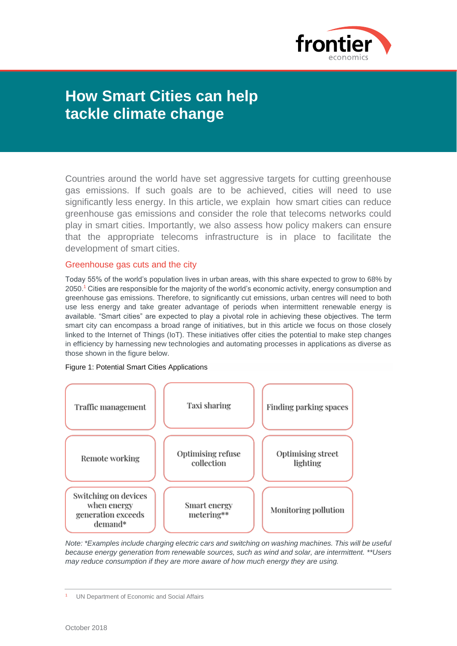

# **How Smart Cities can help tackle climate change**

Countries around the world have set aggressive targets for cutting greenhouse gas emissions. If such goals are to be achieved, cities will need to use significantly less energy. In this article, we explain how smart cities can reduce greenhouse gas emissions and consider the role that telecoms networks could play in smart cities. Importantly, we also assess how policy makers can ensure that the appropriate telecoms infrastructure is in place to facilitate the development of smart cities.

## Greenhouse gas cuts and the city

Today 55% of the world's population lives in urban areas, with this share expected to grow to 68% by 2050.<sup>1</sup> Cities are responsible for the majority of the world's economic activity, energy consumption and greenhouse gas emissions. Therefore, to significantly cut emissions, urban centres will need to both use less energy and take greater advantage of periods when intermittent renewable energy is available. "Smart cities" are expected to play a pivotal role in achieving these objectives. The term smart city can encompass a broad range of initiatives, but in this article we focus on those closely linked to the Internet of Things (IoT). These initiatives offer cities the potential to make step changes in efficiency by harnessing new technologies and automating processes in applications as diverse as those shown in the figure below.

## Figure 1: Potential Smart Cities Applications



*Note: \*Examples include charging electric cars and switching on washing machines. This will be useful because energy generation from renewable sources, such as wind and solar, are intermittent. \*\*Users may reduce consumption if they are more aware of how much energy they are using.*

<sup>1</sup> UN Department of Economic and Social Affairs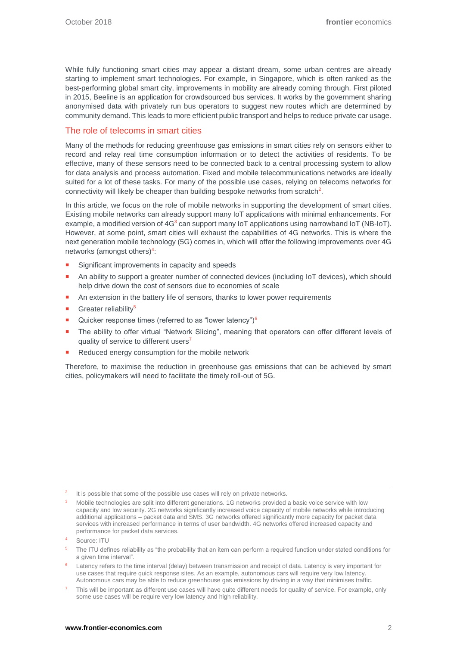While fully functioning smart cities may appear a distant dream, some urban centres are already starting to implement smart technologies. For example, in Singapore, which is often ranked as the best-performing global smart city, improvements in mobility are already coming through. First piloted in 2015, Beeline is an application for crowdsourced bus services. It works by the government sharing anonymised data with privately run bus operators to suggest new routes which are determined by community demand. This leads to more efficient public transport and helps to reduce private car usage.

# The role of telecoms in smart cities

Many of the methods for reducing greenhouse gas emissions in smart cities rely on sensors either to record and relay real time consumption information or to detect the activities of residents. To be effective, many of these sensors need to be connected back to a central processing system to allow for data analysis and process automation. Fixed and mobile telecommunications networks are ideally suited for a lot of these tasks. For many of the possible use cases, relying on telecoms networks for connectivity will likely be cheaper than building bespoke networks from scratch<sup>2</sup>.

In this article, we focus on the role of mobile networks in supporting the development of smart cities. Existing mobile networks can already support many IoT applications with minimal enhancements. For example, a modified version of  $4G<sup>3</sup>$  can support many IoT applications using narrowband IoT (NB-IoT). However, at some point, smart cities will exhaust the capabilities of 4G networks. This is where the next generation mobile technology (5G) comes in, which will offer the following improvements over 4G networks (amongst others)<sup>4</sup>:

- Significant improvements in capacity and speeds
- An ability to support a greater number of connected devices (including IoT devices), which should help drive down the cost of sensors due to economies of scale
- An extension in the battery life of sensors, thanks to lower power requirements
- Greater reliability<sup>5</sup>
- Quicker response times (referred to as "lower latency") $6$
- The ability to offer virtual "Network Slicing", meaning that operators can offer different levels of quality of service to different users<sup>7</sup>
- Reduced energy consumption for the mobile network

Therefore, to maximise the reduction in greenhouse gas emissions that can be achieved by smart cities, policymakers will need to facilitate the timely roll-out of 5G.

- <sup>5</sup> The ITU defines reliability as "the probability that an item can perform a required function under stated conditions for a given time interval".
- <sup>6</sup> Latency refers to the time interval (delay) between transmission and receipt of data. Latency is very important for use cases that require quick response sites. As an example, autonomous cars will require very low latency. Autonomous cars may be able to reduce greenhouse gas emissions by driving in a way that minimises traffic.

<sup>2</sup> It is possible that some of the possible use cases will rely on private networks.

<sup>3</sup> Mobile technologies are split into different generations. 1G networks provided a basic voice service with low capacity and low security. 2G networks significantly increased voice capacity of mobile networks while introducing additional applications – packet data and SMS. 3G networks offered significantly more capacity for packet data services with increased performance in terms of user bandwidth. 4G networks offered increased capacity and performance for packet data services.

Source: **ITU** 

<sup>7</sup> This will be important as different use cases will have quite different needs for quality of service. For example, only some use cases will be require very low latency and high reliability.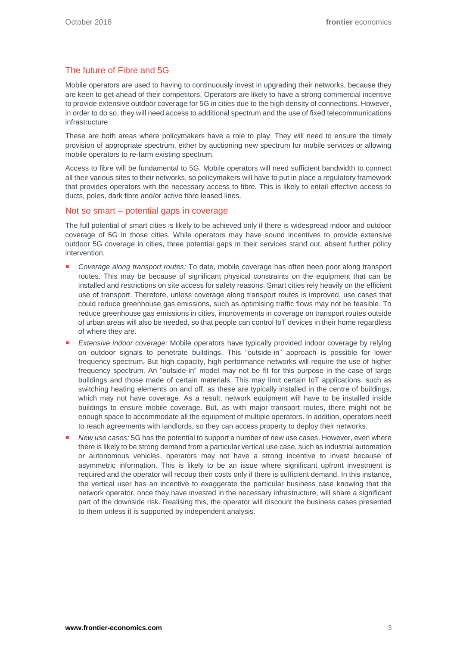# The future of Fibre and 5G

Mobile operators are used to having to continuously invest in upgrading their networks, because they are keen to get ahead of their competitors. Operators are likely to have a strong commercial incentive to provide extensive outdoor coverage for 5G in cities due to the high density of connections. However, in order to do so, they will need access to additional spectrum and the use of fixed telecommunications infrastructure.

These are both areas where policymakers have a role to play. They will need to ensure the timely provision of appropriate spectrum, either by auctioning new spectrum for mobile services or allowing mobile operators to re-farm existing spectrum.

Access to fibre will be fundamental to 5G. Mobile operators will need sufficient bandwidth to connect all their various sites to their networks, so policymakers will have to put in place a regulatory framework that provides operators with the necessary access to fibre. This is likely to entail effective access to ducts, poles, dark fibre and/or active fibre leased lines.

## Not so smart – potential gaps in coverage

The full potential of smart cities is likely to be achieved only if there is widespread indoor and outdoor coverage of 5G in those cities. While operators may have sound incentives to provide extensive outdoor 5G coverage in cities, three potential gaps in their services stand out, absent further policy intervention.

- *Coverage along transport routes:* To date, mobile coverage has often been poor along transport routes. This may be because of significant physical constraints on the equipment that can be installed and restrictions on site access for safety reasons. Smart cities rely heavily on the efficient use of transport. Therefore, unless coverage along transport routes is improved, use cases that could reduce greenhouse gas emissions, such as optimising traffic flows may not be feasible. To reduce greenhouse gas emissions in cities, improvements in coverage on transport routes outside of urban areas will also be needed, so that people can control IoT devices in their home regardless of where they are.
- *Extensive indoor coverage:* Mobile operators have typically provided indoor coverage by relying on outdoor signals to penetrate buildings. This "outside-in" approach is possible for lower frequency spectrum. But high capacity, high performance networks will require the use of higher frequency spectrum. An "outside-in" model may not be fit for this purpose in the case of large buildings and those made of certain materials. This may limit certain IoT applications, such as switching heating elements on and off, as these are typically installed in the centre of buildings, which may not have coverage. As a result, network equipment will have to be installed inside buildings to ensure mobile coverage. But, as with major transport routes, there might not be enough space to accommodate all the equipment of multiple operators. In addition, operators need to reach agreements with landlords, so they can access property to deploy their networks.
- *New use cases:* 5G has the potential to support a number of new use cases. However, even where there is likely to be strong demand from a particular vertical use case, such as industrial automation or autonomous vehicles, operators may not have a strong incentive to invest because of asymmetric information. This is likely to be an issue where significant upfront investment is required and the operator will recoup their costs only if there is sufficient demand. In this instance, the vertical user has an incentive to exaggerate the particular business case knowing that the network operator, once they have invested in the necessary infrastructure, will share a significant part of the downside risk. Realising this, the operator will discount the business cases presented to them unless it is supported by independent analysis.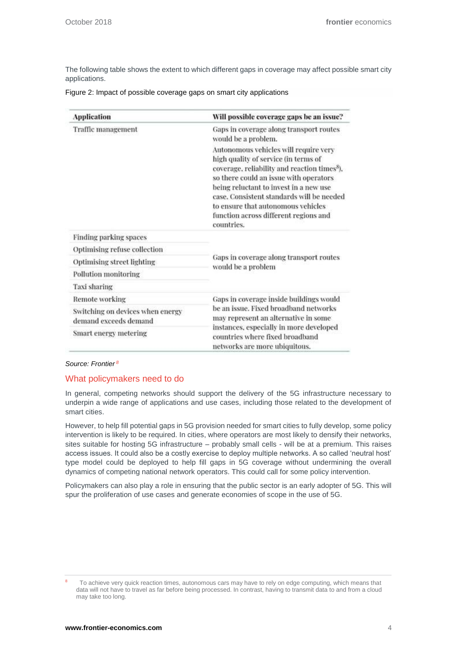The following table shows the extent to which different gaps in coverage may affect possible smart city applications.

| <b>Application</b>                                        | Will possible coverage gaps be an issue?                                                                                                                                                                                                                                                                                                                                |
|-----------------------------------------------------------|-------------------------------------------------------------------------------------------------------------------------------------------------------------------------------------------------------------------------------------------------------------------------------------------------------------------------------------------------------------------------|
| Traffic management                                        | Gaps in coverage along transport routes<br>would be a problem.                                                                                                                                                                                                                                                                                                          |
|                                                           | Autonomous vehicles will require very<br>high quality of service (in terms of<br>coverage, reliability and reaction times <sup>8</sup> ).<br>so there could an issue with operators<br>being reluctant to invest in a new use<br>case. Consistent standards will be needed<br>to ensure that autonomous vehicles<br>function across different regions and<br>countries. |
| Finding parking spaces                                    | Gaps in coverage along transport routes<br>would be a problem                                                                                                                                                                                                                                                                                                           |
| Optimising refuse collection                              |                                                                                                                                                                                                                                                                                                                                                                         |
| Optimising street lighting                                |                                                                                                                                                                                                                                                                                                                                                                         |
| Pollution monitoring                                      |                                                                                                                                                                                                                                                                                                                                                                         |
| Taxi sharing                                              |                                                                                                                                                                                                                                                                                                                                                                         |
| Remote working                                            | Gaps in coverage inside buildings would<br>be an issue. Fixed broadband networks<br>may represent an alternative in some<br>instances, especially in more developed<br>countries where fixed broadband<br>networks are more ubiquitous.                                                                                                                                 |
| Switching on devices when energy<br>demand exceeds demand |                                                                                                                                                                                                                                                                                                                                                                         |
| Smart energy metering                                     |                                                                                                                                                                                                                                                                                                                                                                         |

### Figure 2: Impact of possible coverage gaps on smart city applications

#### *Source: Frontier <sup>8</sup>*

### What policymakers need to do

In general, competing networks should support the delivery of the 5G infrastructure necessary to underpin a wide range of applications and use cases, including those related to the development of smart cities.

However, to help fill potential gaps in 5G provision needed for smart cities to fully develop, some policy intervention is likely to be required. In cities, where operators are most likely to densify their networks, sites suitable for hosting 5G infrastructure – probably small cells - will be at a premium. This raises access issues. It could also be a costly exercise to deploy multiple networks. A so called 'neutral host' type model could be deployed to help fill gaps in 5G coverage without undermining the overall dynamics of competing national network operators. This could call for some policy intervention.

Policymakers can also play a role in ensuring that the public sector is an early adopter of 5G. This will spur the proliferation of use cases and generate economies of scope in the use of 5G.

<sup>8</sup> To achieve very quick reaction times, autonomous cars may have to rely on edge computing, which means that data will not have to travel as far before being processed. In contrast, having to transmit data to and from a cloud may take too long.